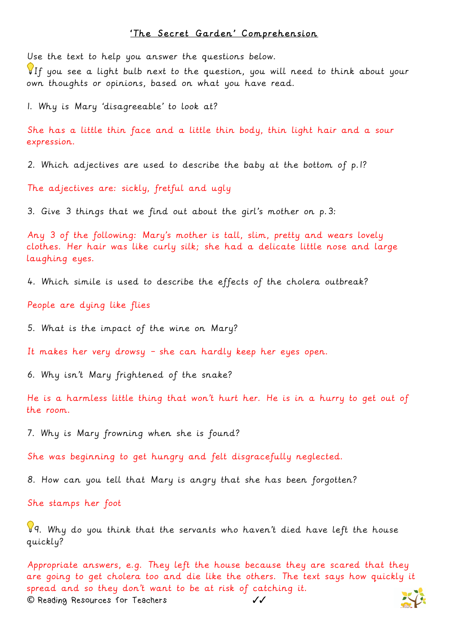## 'The Secret Garden' Comprehension

Use the text to help you answer the questions below.

If you see a light bulb next to the question, you will need to think about your own thoughts or opinions, based on what you have read.

1. Why is Mary 'disagreeable' to look at?

She has a little thin face and a little thin body, thin light hair and a sour expression.

2. Which adjectives are used to describe the baby at the bottom of p.1?

The adjectives are: sickly, fretful and ugly

3. Give 3 things that we find out about the girl's mother on p.3:

Any 3 of the following: Mary's mother is tall, slim, pretty and wears lovely clothes. Her hair was like curly silk; she had a delicate little nose and large laughing eyes.

4. Which simile is used to describe the effects of the cholera outbreak?

People are dying like flies

5. What is the impact of the wine on Mary?

It makes her very drowsy – she can hardly keep her eyes open.

6. Why isn't Mary frightened of the snake?

He is a harmless little thing that won't hurt her. He is in a hurry to get out of the room.

7. Why is Mary frowning when she is found?

She was beginning to get hungry and felt disgracefully neglected.

8. How can you tell that Mary is angry that she has been forgotten?

She stamps her foot

 $99.$  Why do you think that the servants who haven't died have left the house quickly?

**©** Reading Resources for Teachers ✓✓ Appropriate answers, e.g. They left the house because they are scared that they are going to get cholera too and die like the others. The text says how quickly it spread and so they don't want to be at risk of catching it.